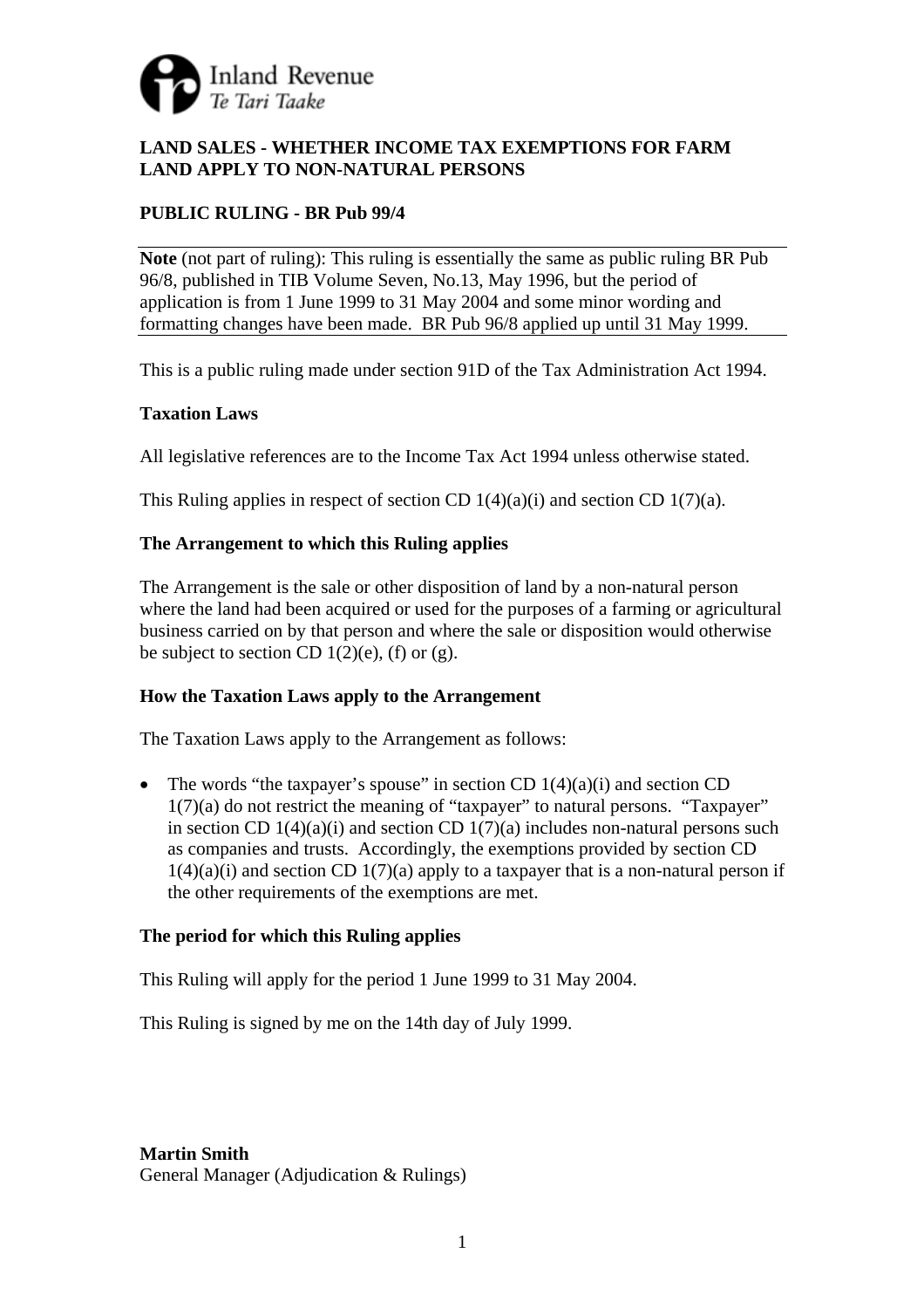

# **LAND SALES - WHETHER INCOME TAX EXEMPTIONS FOR FARM LAND APPLY TO NON-NATURAL PERSONS**

# **PUBLIC RULING - BR Pub 99/4**

**Note** (not part of ruling): This ruling is essentially the same as public ruling BR Pub 96/8, published in TIB Volume Seven, No.13, May 1996, but the period of application is from 1 June 1999 to 31 May 2004 and some minor wording and formatting changes have been made. BR Pub 96/8 applied up until 31 May 1999.

This is a public ruling made under section 91D of the Tax Administration Act 1994.

## **Taxation Laws**

All legislative references are to the Income Tax Act 1994 unless otherwise stated.

This Ruling applies in respect of section CD  $1(4)(a)(i)$  and section CD  $1(7)(a)$ .

## **The Arrangement to which this Ruling applies**

The Arrangement is the sale or other disposition of land by a non-natural person where the land had been acquired or used for the purposes of a farming or agricultural business carried on by that person and where the sale or disposition would otherwise be subject to section CD  $1(2)(e)$ , (f) or (g).

#### **How the Taxation Laws apply to the Arrangement**

The Taxation Laws apply to the Arrangement as follows:

• The words "the taxpayer's spouse" in section CD  $1(4)(a)(i)$  and section CD 1(7)(a) do not restrict the meaning of "taxpayer" to natural persons. "Taxpayer" in section CD  $1(4)(a)(i)$  and section CD  $1(7)(a)$  includes non-natural persons such as companies and trusts. Accordingly, the exemptions provided by section CD  $1(4)(a)(i)$  and section CD  $1(7)(a)$  apply to a taxpayer that is a non-natural person if the other requirements of the exemptions are met.

#### **The period for which this Ruling applies**

This Ruling will apply for the period 1 June 1999 to 31 May 2004.

This Ruling is signed by me on the 14th day of July 1999.

**Martin Smith**  General Manager (Adjudication & Rulings)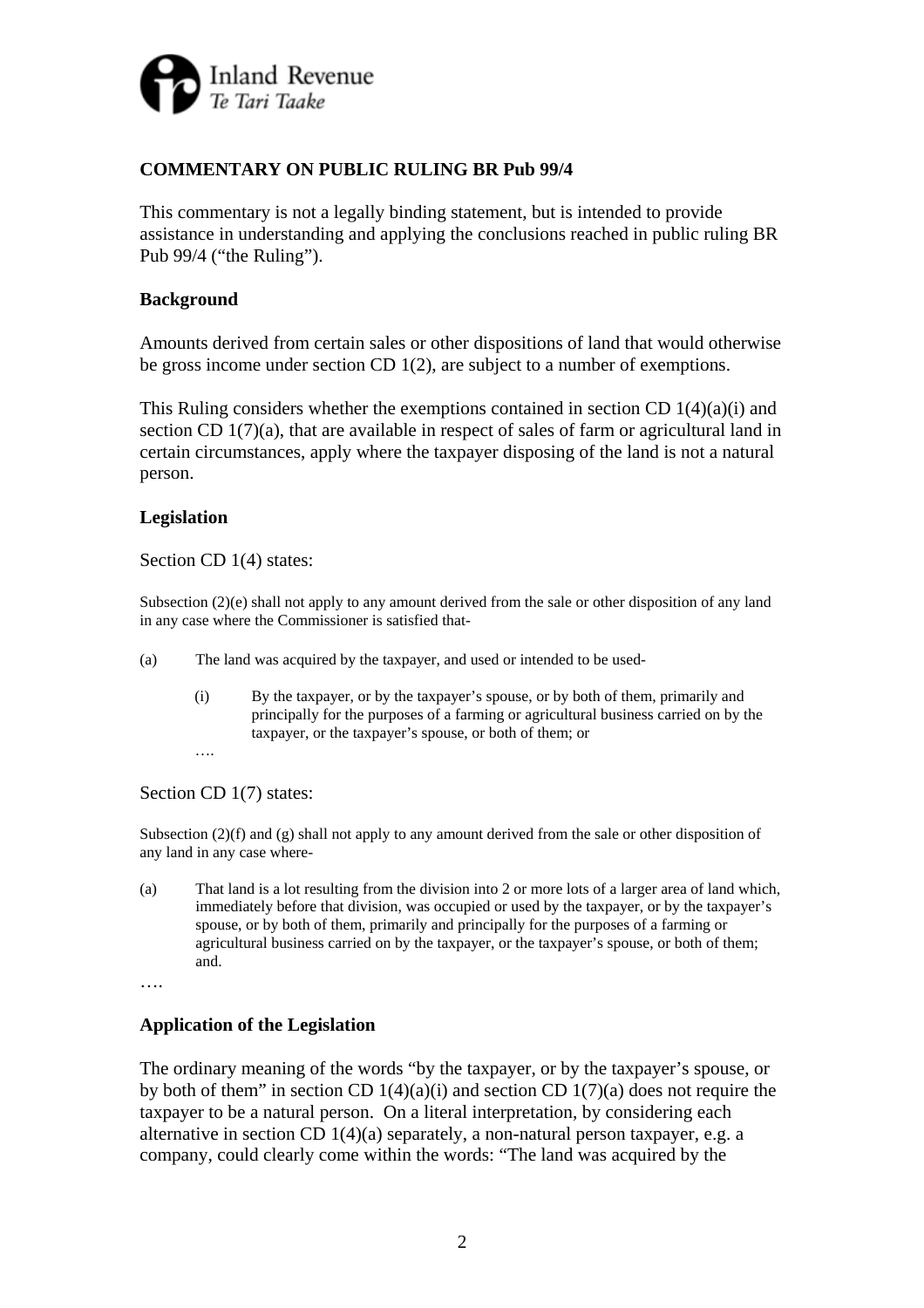

# **COMMENTARY ON PUBLIC RULING BR Pub 99/4**

This commentary is not a legally binding statement, but is intended to provide assistance in understanding and applying the conclusions reached in public ruling BR Pub 99/4 ("the Ruling").

#### **Background**

Amounts derived from certain sales or other dispositions of land that would otherwise be gross income under section CD 1(2), are subject to a number of exemptions.

This Ruling considers whether the exemptions contained in section CD  $1(4)(a)(i)$  and section CD 1(7)(a), that are available in respect of sales of farm or agricultural land in certain circumstances, apply where the taxpayer disposing of the land is not a natural person.

## **Legislation**

Section CD 1(4) states:

Subsection (2)(e) shall not apply to any amount derived from the sale or other disposition of any land in any case where the Commissioner is satisfied that-

- (a) The land was acquired by the taxpayer, and used or intended to be used-
	- (i) By the taxpayer, or by the taxpayer's spouse, or by both of them, primarily and principally for the purposes of a farming or agricultural business carried on by the taxpayer, or the taxpayer's spouse, or both of them; or

 …. Section CD 1(7) states:

Subsection  $(2)(f)$  and  $(g)$  shall not apply to any amount derived from the sale or other disposition of any land in any case where-

(a) That land is a lot resulting from the division into 2 or more lots of a larger area of land which, immediately before that division, was occupied or used by the taxpayer, or by the taxpayer's spouse, or by both of them, primarily and principally for the purposes of a farming or agricultural business carried on by the taxpayer, or the taxpayer's spouse, or both of them; and.

….

#### **Application of the Legislation**

The ordinary meaning of the words "by the taxpayer, or by the taxpayer's spouse, or by both of them" in section CD  $1(4)(a)(i)$  and section CD  $1(7)(a)$  does not require the taxpayer to be a natural person. On a literal interpretation, by considering each alternative in section CD  $1(4)(a)$  separately, a non-natural person taxpayer, e.g. a company, could clearly come within the words: "The land was acquired by the